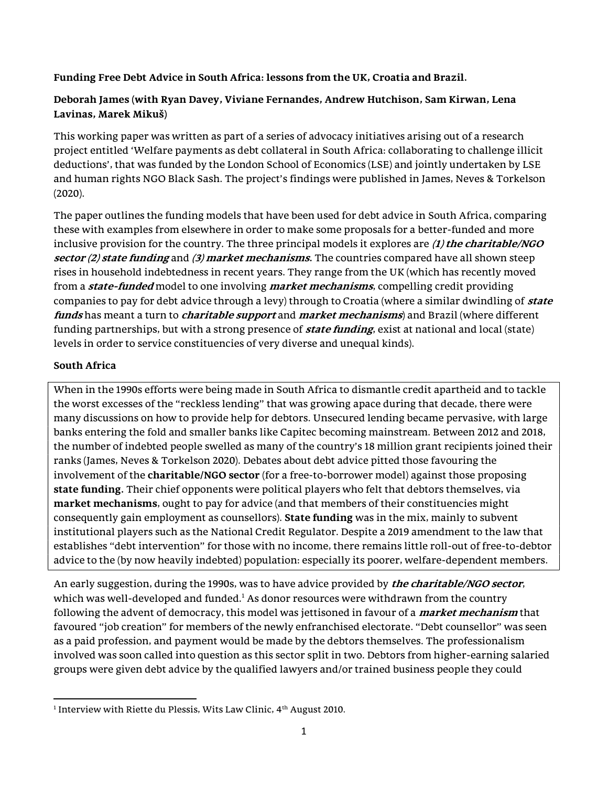## Funding Free Debt Advice in South Africa: lessons from the UK, Croatia and Brazil.

# Deborah James (with Ryan Davey, Viviane Fernandes, Andrew Hutchison, Sam Kirwan, Lena Lavinas, Marek Mikuš)

This working paper was written as part of a series of advocacy initiatives arising out of a research project entitled 'Welfare payments as debt collateral in South Africa: collaborating to challenge illicit deductions', that was funded by the London School of Economics (LSE) and jointly undertaken by LSE and human rights NGO Black Sash. The project's findings were published in James, Neves & Torkelson (2020).

The paper outlines the funding models that have been used for debt advice in South Africa, comparing these with examples from elsewhere in order to make some proposals for a better-funded and more inclusive provision for the country. The three principal models it explores are  $(1)$  the charitable/NGO sector  $(2)$  state funding and  $(3)$  market mechanisms. The countries compared have all shown steep rises in household indebtedness in recent years. They range from the UK (which has recently moved from a *state-funded* model to one involving *market mechanisms*, compelling credit providing companies to pay for debt advice through a levy) through to Croatia (where a similar dwindling of *state* funds has meant a turn to *charitable support* and *market mechanisms*) and Brazil (where different funding partnerships, but with a strong presence of **state funding**, exist at national and local (state) levels in order to service constituencies of very diverse and unequal kinds).

# South Africa

When in the 1990s efforts were being made in South Africa to dismantle credit apartheid and to tackle the worst excesses of the "reckless lending" that was growing apace during that decade, there were many discussions on how to provide help for debtors. Unsecured lending became pervasive, with large banks entering the fold and smaller banks like Capitec becoming mainstream. Between 2012 and 2018, the number of indebted people swelled as many of the country's 18 million grant recipients joined their ranks (James, Neves & Torkelson 2020). Debates about debt advice pitted those favouring the involvement of the charitable/NGO sector (for a free-to-borrower model) against those proposing state funding. Their chief opponents were political players who felt that debtors themselves, via market mechanisms, ought to pay for advice (and that members of their constituencies might consequently gain employment as counsellors). State funding was in the mix, mainly to subvent institutional players such as the National Credit Regulator. Despite a 2019 amendment to the law that establishes "debt intervention" for those with no income, there remains little roll-out of free-to-debtor advice to the (by now heavily indebted) population: especially its poorer, welfare-dependent members.

An early suggestion, during the 1990s, was to have advice provided by *the charitable/NGO sector*, which was well-developed and funded. $^{\rm 1}$  As donor resources were withdrawn from the country following the advent of democracy, this model was jettisoned in favour of a *market mechanism* that favoured "job creation" for members of the newly enfranchised electorate. "Debt counsellor" was seen as a paid profession, and payment would be made by the debtors themselves. The professionalism involved was soon called into question as this sector split in two. Debtors from higher-earning salaried groups were given debt advice by the qualified lawyers and/or trained business people they could

 $1$ Interview with Riette du Plessis, Wits Law Clinic,  $4<sup>th</sup>$  August 2010.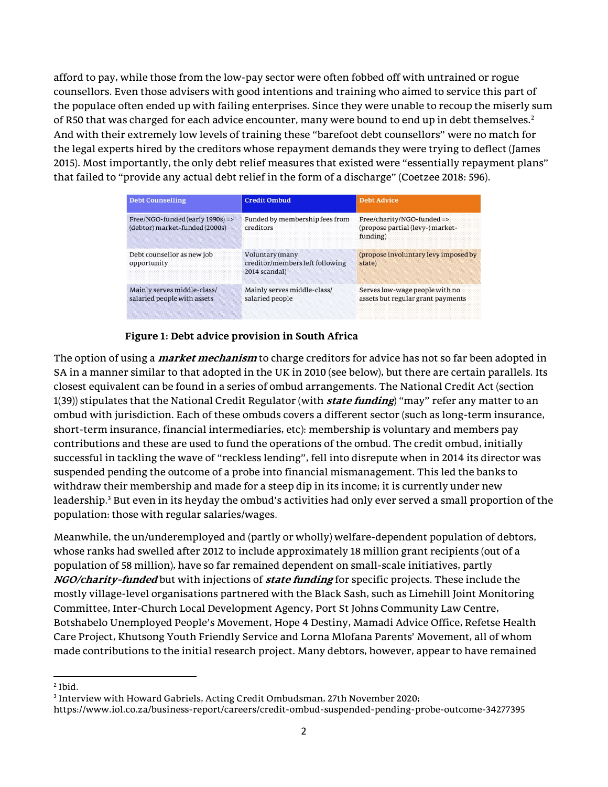afford to pay, while those from the low-pay sector were often fobbed off with untrained or rogue counsellors. Even those advisers with good intentions and training who aimed to service this part of the populace often ended up with failing enterprises. Since they were unable to recoup the miserly sum of R50 that was charged for each advice encounter, many were bound to end up in debt themselves.<sup>2</sup> And with their extremely low levels of training these "barefoot debt counsellors" were no match for the legal experts hired by the creditors whose repayment demands they were trying to deflect (James 2015). Most importantly, the only debt relief measures that existed were "essentially repayment plans" that failed to "provide any actual debt relief in the form of a discharge" (Coetzee 2018: 596).

| <b>Debt Counselling</b>                                               | <b>Credit Ombud</b>                                                 | <b>Debt Advice</b>                                                        |
|-----------------------------------------------------------------------|---------------------------------------------------------------------|---------------------------------------------------------------------------|
| $Free/NGO$ -funded (early 1990s) =><br>(debtor) market-funded (2000s) | Funded by membership fees from<br>creditors                         | Free/charity/NGO-funded=><br>(propose partial (levy-) market-<br>funding) |
| Debt counsellor as new job<br>opportunity                             | Voluntary (many<br>creditor/members left following<br>2014 scandal) | (propose involuntary levy imposed by<br>state)                            |
| Mainly serves middle-class/<br>salaried people with assets            | Mainly serves middle-class/<br>salaried people                      | Serves low-wage people with no<br>assets but regular grant payments       |

## Figure 1: Debt advice provision in South Africa

The option of using a *market mechanism* to charge creditors for advice has not so far been adopted in SA in a manner similar to that adopted in the UK in 2010 (see below), but there are certain parallels. Its closest equivalent can be found in a series of ombud arrangements. The National Credit Act (section 1(39)) stipulates that the National Credit Regulator (with *state funding*) "may" refer any matter to an ombud with jurisdiction. Each of these ombuds covers a different sector (such as long-term insurance, short-term insurance, financial intermediaries, etc): membership is voluntary and members pay contributions and these are used to fund the operations of the ombud. The credit ombud, initially successful in tackling the wave of "reckless lending", fell into disrepute when in 2014 its director was suspended pending the outcome of a probe into financial mismanagement. This led the banks to withdraw their membership and made for a steep dip in its income; it is currently under new leadership.<sup>3</sup> But even in its heyday the ombud's activities had only ever served a small proportion of the population: those with regular salaries/wages.

Meanwhile, the un/underemployed and (partly or wholly) welfare-dependent population of debtors, whose ranks had swelled after 2012 to include approximately 18 million grant recipients (out of a population of 58 million), have so far remained dependent on small-scale initiatives, partly NGO/charity-funded but with injections of *state funding* for specific projects. These include the mostly village-level organisations partnered with the Black Sash, such as Limehill Joint Monitoring Committee, Inter-Church Local Development Agency, Port St Johns Community Law Centre, Botshabelo Unemployed People's Movement, Hope 4 Destiny, Mamadi Advice Office, Refetse Health Care Project, Khutsong Youth Friendly Service and Lorna Mlofana Parents' Movement, all of whom made contributions to the initial research project. Many debtors, however, appear to have remained

 $<sup>2</sup>$  Ibid.</sup>

<sup>3</sup> Interview with Howard Gabriels, Acting Credit Ombudsman, 27th November 2020;

https://www.iol.co.za/business-report/careers/credit-ombud-suspended-pending-probe-outcome-34277395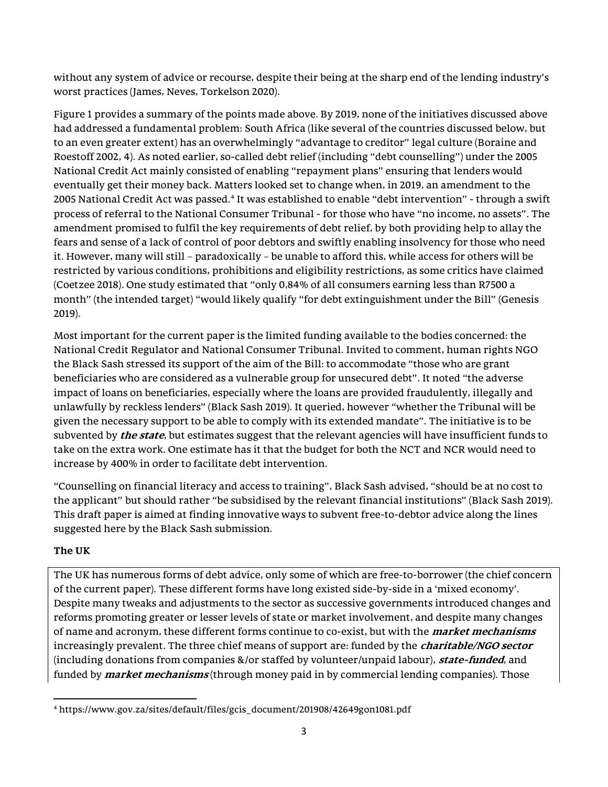without any system of advice or recourse, despite their being at the sharp end of the lending industry's worst practices (James, Neves, Torkelson 2020).

Figure 1 provides a summary of the points made above. By 2019, none of the initiatives discussed above had addressed a fundamental problem: South Africa (like several of the countries discussed below, but to an even greater extent) has an overwhelmingly "advantage to creditor" legal culture (Boraine and Roestoff 2002, 4). As noted earlier, so-called debt relief (including "debt counselling") under the 2005 National Credit Act mainly consisted of enabling "repayment plans" ensuring that lenders would eventually get their money back. Matters looked set to change when, in 2019, an amendment to the 2005 National Credit Act was passed.<sup>4</sup> It was established to enable "debt intervention" - through a swift process of referral to the National Consumer Tribunal - for those who have "no income, no assets". The amendment promised to fulfil the key requirements of debt relief, by both providing help to allay the fears and sense of a lack of control of poor debtors and swiftly enabling insolvency for those who need it. However, many will still – paradoxically – be unable to afford this, while access for others will be restricted by various conditions, prohibitions and eligibility restrictions, as some critics have claimed (Coetzee 2018). One study estimated that "only 0,84% of all consumers earning less than R7500 a month" (the intended target) "would likely qualify "for debt extinguishment under the Bill" (Genesis 2019).

Most important for the current paper is the limited funding available to the bodies concerned: the National Credit Regulator and National Consumer Tribunal. Invited to comment, human rights NGO the Black Sash stressed its support of the aim of the Bill: to accommodate "those who are grant beneficiaries who are considered as a vulnerable group for unsecured debt". It noted "the adverse impact of loans on beneficiaries, especially where the loans are provided fraudulently, illegally and unlawfully by reckless lenders" (Black Sash 2019). It queried, however "whether the Tribunal will be given the necessary support to be able to comply with its extended mandate". The initiative is to be subvented by *the state*, but estimates suggest that the relevant agencies will have insufficient funds to take on the extra work. One estimate has it that the budget for both the NCT and NCR would need to increase by 400% in order to facilitate debt intervention.

"Counselling on financial literacy and access to training", Black Sash advised, "should be at no cost to the applicant" but should rather "be subsidised by the relevant financial institutions" (Black Sash 2019). This draft paper is aimed at finding innovative ways to subvent free-to-debtor advice along the lines suggested here by the Black Sash submission.

# The UK

The UK has numerous forms of debt advice, only some of which are free-to-borrower (the chief concern of the current paper). These different forms have long existed side-by-side in a 'mixed economy'. Despite many tweaks and adjustments to the sector as successive governments introduced changes and reforms promoting greater or lesser levels of state or market involvement, and despite many changes of name and acronym, these different forms continue to co-exist, but with the *market mechanisms* increasingly prevalent. The three chief means of support are: funded by the *charitable/NGO sector* (including donations from companies &/or staffed by volunteer/unpaid labour), **state-funded**, and funded by *market mechanisms* (through money paid in by commercial lending companies). Those

<sup>4</sup> https://www.gov.za/sites/default/files/gcis\_document/201908/42649gon1081.pdf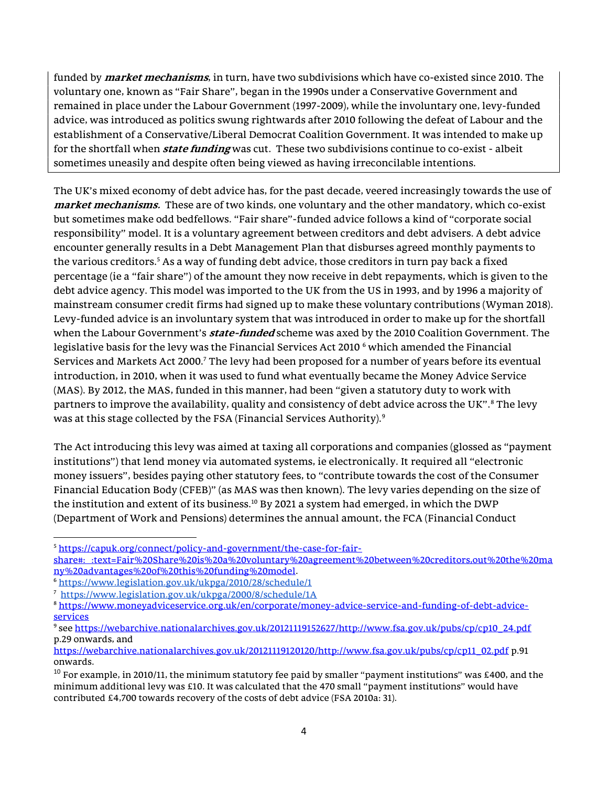funded by *market mechanisms*, in turn, have two subdivisions which have co-existed since 2010. The voluntary one, known as "Fair Share", began in the 1990s under a Conservative Government and remained in place under the Labour Government (1997-2009), while the involuntary one, levy-funded advice, was introduced as politics swung rightwards after 2010 following the defeat of Labour and the establishment of a Conservative/Liberal Democrat Coalition Government. It was intended to make up for the shortfall when *state funding* was cut. These two subdivisions continue to co-exist - albeit sometimes uneasily and despite often being viewed as having irreconcilable intentions.

The UK's mixed economy of debt advice has, for the past decade, veered increasingly towards the use of market mechanisms. These are of two kinds, one voluntary and the other mandatory, which co-exist but sometimes make odd bedfellows. "Fair share"-funded advice follows a kind of "corporate social responsibility" model. It is a voluntary agreement between creditors and debt advisers. A debt advice encounter generally results in a Debt Management Plan that disburses agreed monthly payments to the various creditors.<sup>5</sup> As a way of funding debt advice, those creditors in turn pay back a fixed percentage (ie a "fair share") of the amount they now receive in debt repayments, which is given to the debt advice agency. This model was imported to the UK from the US in 1993, and by 1996 a majority of mainstream consumer credit firms had signed up to make these voluntary contributions (Wyman 2018). Levy-funded advice is an involuntary system that was introduced in order to make up for the shortfall when the Labour Government's *state-funded* scheme was axed by the 2010 Coalition Government. The legislative basis for the levy was the Financial Services Act 2010  $^6$  which amended the Financial Services and Markets Act 2000.<sup>7</sup> The levy had been proposed for a number of years before its eventual introduction, in 2010, when it was used to fund what eventually became the Money Advice Service (MAS). By 2012, the MAS, funded in this manner, had been "given a statutory duty to work with partners to improve the availability, quality and consistency of debt advice across the UK".<sup>8</sup> The levy was at this stage collected by the FSA (Financial Services Authority). $^9$ 

The Act introducing this levy was aimed at taxing all corporations and companies (glossed as "payment institutions") that lend money via automated systems, ie electronically. It required all "electronic money issuers", besides paying other statutory fees, to "contribute towards the cost of the Consumer Financial Education Body (CFEB)" (as MAS was then known). The levy varies depending on the size of the institution and extent of its business.<sup>10</sup> By 2021 a system had emerged, in which the DWP (Department of Work and Pensions) determines the annual amount, the FCA (Financial Conduct

<sup>5</sup> https://capuk.org/connect/policy-and-government/the-case-for-fairshare#:~:text=Fair%20Share%20is%20a%20voluntary%20agreement%20between%20creditors,out%20the%20ma ny%20advantages%20of%20this%20funding%20model.

<sup>6</sup> https://www.legislation.gov.uk/ukpga/2010/28/schedule/1

<sup>7</sup> https://www.legislation.gov.uk/ukpga/2000/8/schedule/1A

<sup>8</sup> https://www.moneyadviceservice.org.uk/en/corporate/money-advice-service-and-funding-of-debt-adviceservices

<sup>9</sup> see https://webarchive.nationalarchives.gov.uk/20121119152627/http://www.fsa.gov.uk/pubs/cp/cp10\_24.pdf p.29 onwards, and

https://webarchive.nationalarchives.gov.uk/20121119120120/http://www.fsa.gov.uk/pubs/cp/cp11\_02.pdf p.91 onwards.

 $10$  For example, in 2010/11, the minimum statutory fee paid by smaller "payment institutions" was £400, and the minimum additional levy was £10. It was calculated that the 470 small "payment institutions" would have contributed £4,700 towards recovery of the costs of debt advice (FSA 2010a: 31).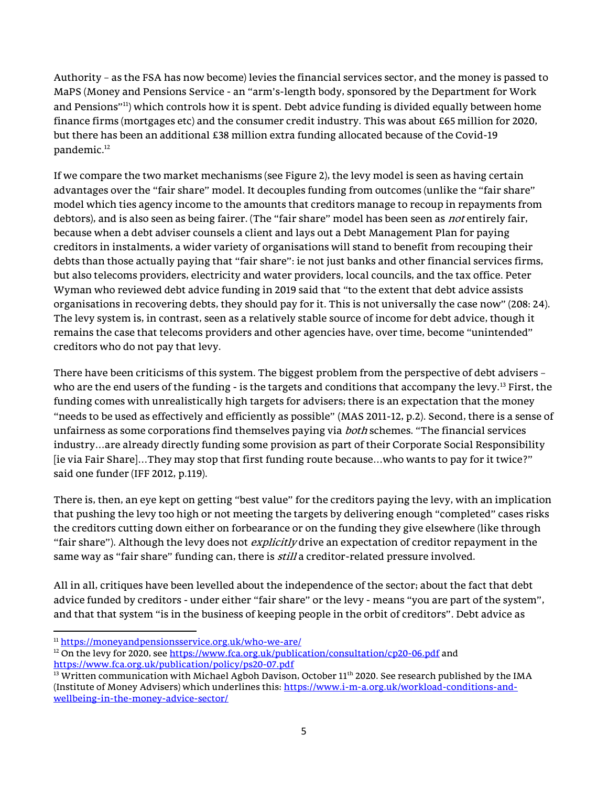Authority – as the FSA has now become) levies the financial services sector, and the money is passed to MaPS (Money and Pensions Service - an "arm's-length body, sponsored by the Department for Work and Pensions"<sup>11</sup>) which controls how it is spent. Debt advice funding is divided equally between home finance firms (mortgages etc) and the consumer credit industry. This was about £65 million for 2020, but there has been an additional £38 million extra funding allocated because of the Covid-19 pandemic.<sup>12</sup>

If we compare the two market mechanisms (see Figure 2), the levy model is seen as having certain advantages over the "fair share" model. It decouples funding from outcomes (unlike the "fair share" model which ties agency income to the amounts that creditors manage to recoup in repayments from debtors), and is also seen as being fairer. (The "fair share" model has been seen as not entirely fair, because when a debt adviser counsels a client and lays out a Debt Management Plan for paying creditors in instalments, a wider variety of organisations will stand to benefit from recouping their debts than those actually paying that "fair share": ie not just banks and other financial services firms, but also telecoms providers, electricity and water providers, local councils, and the tax office. Peter Wyman who reviewed debt advice funding in 2019 said that "to the extent that debt advice assists organisations in recovering debts, they should pay for it. This is not universally the case now" (208: 24). The levy system is, in contrast, seen as a relatively stable source of income for debt advice, though it remains the case that telecoms providers and other agencies have, over time, become "unintended" creditors who do not pay that levy.

There have been criticisms of this system. The biggest problem from the perspective of debt advisers – who are the end users of the funding - is the targets and conditions that accompany the levy.<sup>13</sup> First, the funding comes with unrealistically high targets for advisers; there is an expectation that the money "needs to be used as effectively and efficiently as possible" (MAS 2011-12, p.2). Second, there is a sense of unfairness as some corporations find themselves paying via *both* schemes. "The financial services industry…are already directly funding some provision as part of their Corporate Social Responsibility [ie via Fair Share]…They may stop that first funding route because…who wants to pay for it twice?" said one funder (IFF 2012, p.119).

There is, then, an eye kept on getting "best value" for the creditors paying the levy, with an implication that pushing the levy too high or not meeting the targets by delivering enough "completed" cases risks the creditors cutting down either on forbearance or on the funding they give elsewhere (like through "fair share"). Although the levy does not *explicitly* drive an expectation of creditor repayment in the same way as "fair share" funding can, there is *still* a creditor-related pressure involved.

All in all, critiques have been levelled about the independence of the sector; about the fact that debt advice funded by creditors - under either "fair share" or the levy - means "you are part of the system", and that that system "is in the business of keeping people in the orbit of creditors". Debt advice as

<sup>11</sup> https://moneyandpensionsservice.org.uk/who-we-are/

 $12$  On the levy for 2020, see https://www.fca.org.uk/publication/consultation/cp20-06.pdf and https://www.fca.org.uk/publication/policy/ps20-07.pdf

<sup>&</sup>lt;sup>13</sup> Written communication with Michael Agboh Davison, October  $11<sup>th</sup>$  2020. See research published by the IMA (Institute of Money Advisers) which underlines this: https://www.i-m-a.org.uk/workload-conditions-andwellbeing-in-the-money-advice-sector/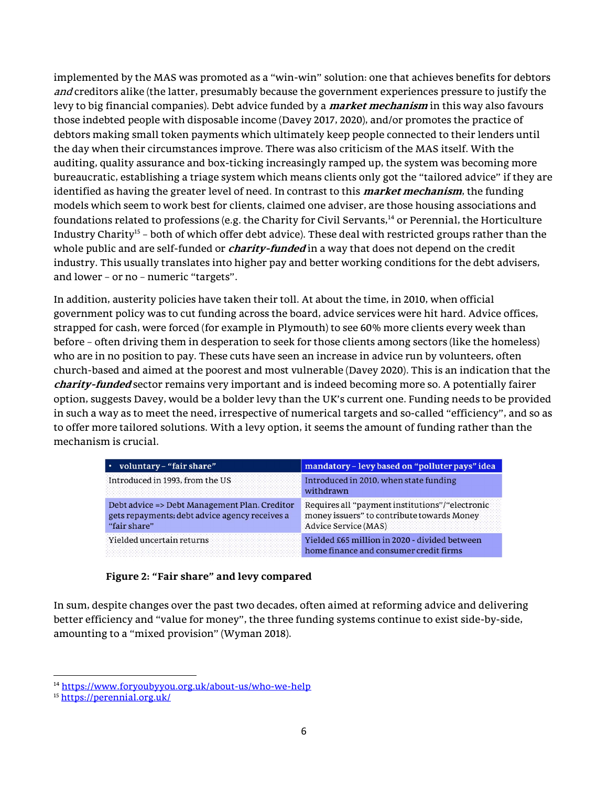implemented by the MAS was promoted as a "win-win" solution: one that achieves benefits for debtors and creditors alike (the latter, presumably because the government experiences pressure to justify the levy to big financial companies). Debt advice funded by a *market mechanism* in this way also favours those indebted people with disposable income (Davey 2017, 2020), and/or promotes the practice of debtors making small token payments which ultimately keep people connected to their lenders until the day when their circumstances improve. There was also criticism of the MAS itself. With the auditing, quality assurance and box-ticking increasingly ramped up, the system was becoming more bureaucratic, establishing a triage system which means clients only got the "tailored advice" if they are identified as having the greater level of need. In contrast to this *market mechanism*, the funding models which seem to work best for clients, claimed one adviser, are those housing associations and foundations related to professions (e.g. the Charity for Civil Servants, $14$  or Perennial, the Horticulture Industry Charity<sup>15</sup> – both of which offer debt advice). These deal with restricted groups rather than the whole public and are self-funded or *charity-funded* in a way that does not depend on the credit industry. This usually translates into higher pay and better working conditions for the debt advisers, and lower – or no – numeric "targets".

In addition, austerity policies have taken their toll. At about the time, in 2010, when official government policy was to cut funding across the board, advice services were hit hard. Advice offices, strapped for cash, were forced (for example in Plymouth) to see 60% more clients every week than before – often driving them in desperation to seek for those clients among sectors (like the homeless) who are in no position to pay. These cuts have seen an increase in advice run by volunteers, often church-based and aimed at the poorest and most vulnerable (Davey 2020). This is an indication that the charity-funded sector remains very important and is indeed becoming more so. A potentially fairer option, suggests Davey, would be a bolder levy than the UK's current one. Funding needs to be provided in such a way as to meet the need, irrespective of numerical targets and so-called "efficiency", and so as to offer more tailored solutions. With a levy option, it seems the amount of funding rather than the mechanism is crucial.

| voluntary - "fair share"                                                                                        | mandatory - levy based on "polluter pays" idea                                                                        |
|-----------------------------------------------------------------------------------------------------------------|-----------------------------------------------------------------------------------------------------------------------|
| Introduced in 1993, from the US                                                                                 | Introduced in 2010, when state funding<br>withdrawn                                                                   |
| Debt advice => Debt Management Plan. Creditor<br>gets repayments; debt advice agency receives a<br>"fair share" | Requires all "payment institutions"/"electronic<br>money issuers" to contribute towards Money<br>Advice Service (MAS) |
| Yielded uncertain returns                                                                                       | Yielded £65 million in 2020 - divided between<br>home finance and consumer credit firms                               |

## Figure 2: "Fair share" and levy compared

In sum, despite changes over the past two decades, often aimed at reforming advice and delivering better efficiency and "value for money", the three funding systems continue to exist side-by-side, amounting to a "mixed provision" (Wyman 2018).

<sup>14</sup> https://www.foryoubyyou.org.uk/about-us/who-we-help

<sup>15</sup> https://perennial.org.uk/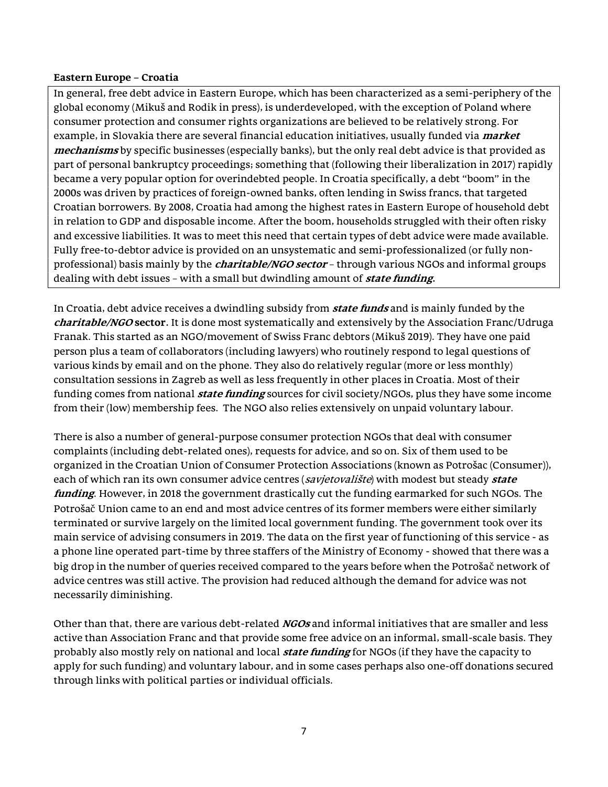#### Eastern Europe – Croatia

In general, free debt advice in Eastern Europe, which has been characterized as a semi-periphery of the global economy (Mikuš and Rodik in press), is underdeveloped, with the exception of Poland where consumer protection and consumer rights organizations are believed to be relatively strong. For example, in Slovakia there are several financial education initiatives, usually funded via *market* mechanisms by specific businesses (especially banks), but the only real debt advice is that provided as part of personal bankruptcy proceedings; something that (following their liberalization in 2017) rapidly became a very popular option for overindebted people. In Croatia specifically, a debt "boom" in the 2000s was driven by practices of foreign-owned banks, often lending in Swiss francs, that targeted Croatian borrowers. By 2008, Croatia had among the highest rates in Eastern Europe of household debt in relation to GDP and disposable income. After the boom, households struggled with their often risky and excessive liabilities. It was to meet this need that certain types of debt advice were made available. Fully free-to-debtor advice is provided on an unsystematic and semi-professionalized (or fully nonprofessional) basis mainly by the *charitable/NGO sector* – through various NGOs and informal groups dealing with debt issues - with a small but dwindling amount of *state funding*.

In Croatia, debt advice receives a dwindling subsidy from **state funds** and is mainly funded by the charitable/NGO sector. It is done most systematically and extensively by the Association Franc/Udruga Franak. This started as an NGO/movement of Swiss Franc debtors (Mikuš 2019). They have one paid person plus a team of collaborators (including lawyers) who routinely respond to legal questions of various kinds by email and on the phone. They also do relatively regular (more or less monthly) consultation sessions in Zagreb as well as less frequently in other places in Croatia. Most of their funding comes from national *state funding* sources for civil society/NGOs, plus they have some income from their (low) membership fees. The NGO also relies extensively on unpaid voluntary labour.

There is also a number of general-purpose consumer protection NGOs that deal with consumer complaints (including debt-related ones), requests for advice, and so on. Six of them used to be organized in the Croatian Union of Consumer Protection Associations (known as Potrošac (Consumer)), each of which ran its own consumer advice centres (savjetovaliste) with modest but steady state funding. However, in 2018 the government drastically cut the funding earmarked for such NGOs. The Potrošač Union came to an end and most advice centres of its former members were either similarly terminated or survive largely on the limited local government funding. The government took over its main service of advising consumers in 2019. The data on the first year of functioning of this service - as a phone line operated part-time by three staffers of the Ministry of Economy - showed that there was a big drop in the number of queries received compared to the years before when the Potrošač network of advice centres was still active. The provision had reduced although the demand for advice was not necessarily diminishing.

Other than that, there are various debt-related *NGOs* and informal initiatives that are smaller and less active than Association Franc and that provide some free advice on an informal, small-scale basis. They probably also mostly rely on national and local *state funding* for NGOs (if they have the capacity to apply for such funding) and voluntary labour, and in some cases perhaps also one-off donations secured through links with political parties or individual officials.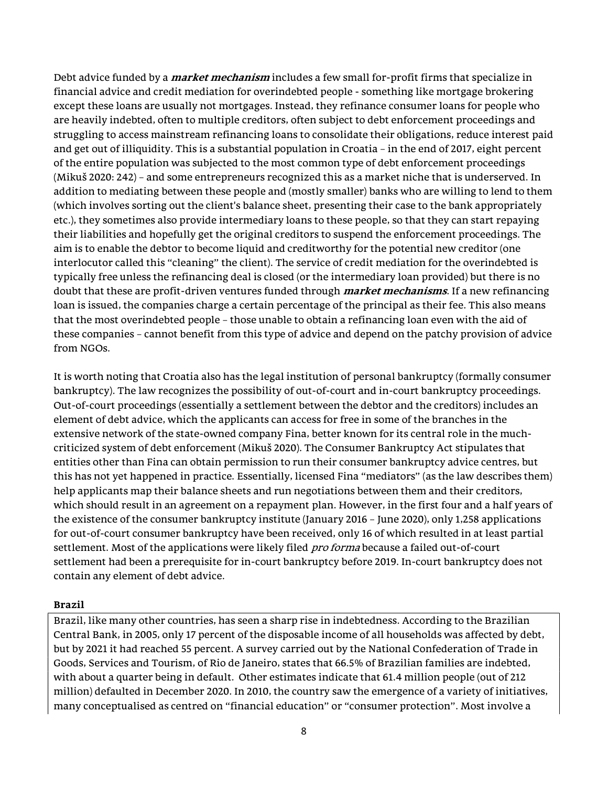Debt advice funded by a *market mechanism* includes a few small for-profit firms that specialize in financial advice and credit mediation for overindebted people - something like mortgage brokering except these loans are usually not mortgages. Instead, they refinance consumer loans for people who are heavily indebted, often to multiple creditors, often subject to debt enforcement proceedings and struggling to access mainstream refinancing loans to consolidate their obligations, reduce interest paid and get out of illiquidity. This is a substantial population in Croatia – in the end of 2017, eight percent of the entire population was subjected to the most common type of debt enforcement proceedings (Mikuš 2020: 242) – and some entrepreneurs recognized this as a market niche that is underserved. In addition to mediating between these people and (mostly smaller) banks who are willing to lend to them (which involves sorting out the client's balance sheet, presenting their case to the bank appropriately etc.), they sometimes also provide intermediary loans to these people, so that they can start repaying their liabilities and hopefully get the original creditors to suspend the enforcement proceedings. The aim is to enable the debtor to become liquid and creditworthy for the potential new creditor (one interlocutor called this "cleaning" the client). The service of credit mediation for the overindebted is typically free unless the refinancing deal is closed (or the intermediary loan provided) but there is no doubt that these are profit-driven ventures funded through *market mechanisms*. If a new refinancing loan is issued, the companies charge a certain percentage of the principal as their fee. This also means that the most overindebted people – those unable to obtain a refinancing loan even with the aid of these companies – cannot benefit from this type of advice and depend on the patchy provision of advice from NGOs.

It is worth noting that Croatia also has the legal institution of personal bankruptcy (formally consumer bankruptcy). The law recognizes the possibility of out-of-court and in-court bankruptcy proceedings. Out-of-court proceedings (essentially a settlement between the debtor and the creditors) includes an element of debt advice, which the applicants can access for free in some of the branches in the extensive network of the state-owned company Fina, better known for its central role in the muchcriticized system of debt enforcement (Mikuš 2020). The Consumer Bankruptcy Act stipulates that entities other than Fina can obtain permission to run their consumer bankruptcy advice centres, but this has not yet happened in practice. Essentially, licensed Fina "mediators" (as the law describes them) help applicants map their balance sheets and run negotiations between them and their creditors, which should result in an agreement on a repayment plan. However, in the first four and a half years of the existence of the consumer bankruptcy institute (January 2016 – June 2020), only 1,258 applications for out-of-court consumer bankruptcy have been received, only 16 of which resulted in at least partial settlement. Most of the applications were likely filed *pro forma* because a failed out-of-court settlement had been a prerequisite for in-court bankruptcy before 2019. In-court bankruptcy does not contain any element of debt advice.

### Brazil

Brazil, like many other countries, has seen a sharp rise in indebtedness. According to the Brazilian Central Bank, in 2005, only 17 percent of the disposable income of all households was affected by debt, but by 2021 it had reached 55 percent. A survey carried out by the National Confederation of Trade in Goods, Services and Tourism, of Rio de Janeiro, states that 66.5% of Brazilian families are indebted, with about a quarter being in default. Other estimates indicate that 61.4 million people (out of 212 million) defaulted in December 2020. In 2010, the country saw the emergence of a variety of initiatives, many conceptualised as centred on "financial education" or "consumer protection". Most involve a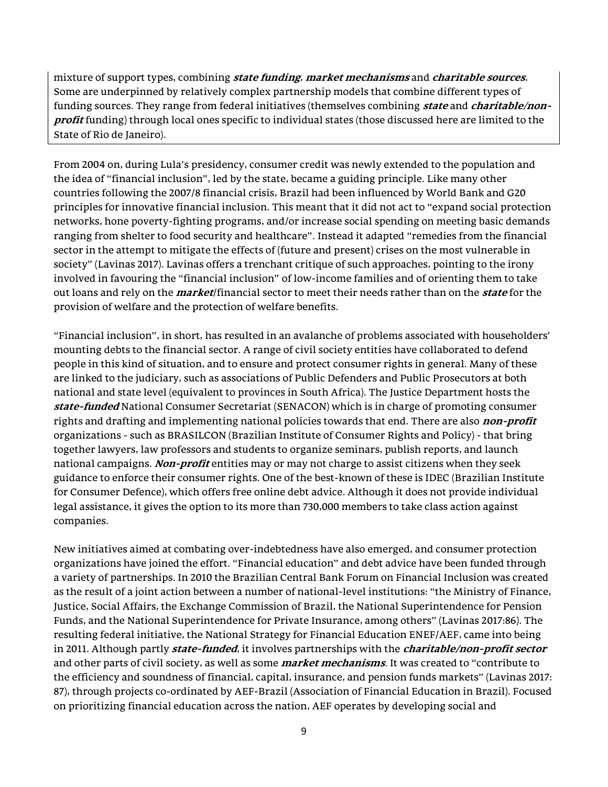mixture of support types, combining *state funding, market mechanisms* and *charitable sources*. Some are underpinned by relatively complex partnership models that combine different types of funding sources. They range from federal initiatives (themselves combining *state* and *charitable/non*profit funding) through local ones specific to individual states (those discussed here are limited to the State of Rio de Janeiro).

From 2004 on, during Lula's presidency, consumer credit was newly extended to the population and the idea of "financial inclusion", led by the state, became a guiding principle. Like many other countries following the 2007/8 financial crisis, Brazil had been influenced by World Bank and G20 principles for innovative financial inclusion. This meant that it did not act to "expand social protection networks, hone poverty-fighting programs, and/or increase social spending on meeting basic demands ranging from shelter to food security and healthcare". Instead it adapted "remedies from the financial sector in the attempt to mitigate the effects of (future and present) crises on the most vulnerable in society" (Lavinas 2017). Lavinas offers a trenchant critique of such approaches, pointing to the irony involved in favouring the "financial inclusion" of low-income families and of orienting them to take out loans and rely on the *market*/financial sector to meet their needs rather than on the *state* for the provision of welfare and the protection of welfare benefits.

"Financial inclusion", in short, has resulted in an avalanche of problems associated with householders' mounting debts to the financial sector. A range of civil society entities have collaborated to defend people in this kind of situation, and to ensure and protect consumer rights in general. Many of these are linked to the judiciary, such as associations of Public Defenders and Public Prosecutors at both national and state level (equivalent to provinces in South Africa). The Justice Department hosts the state-funded National Consumer Secretariat (SENACON) which is in charge of promoting consumer rights and drafting and implementing national policies towards that end. There are also *non-profit* organizations - such as BRASILCON (Brazilian Institute of Consumer Rights and Policy) - that bring together lawyers, law professors and students to organize seminars, publish reports, and launch national campaigns. Non-profit entities may or may not charge to assist citizens when they seek guidance to enforce their consumer rights. One of the best-known of these is IDEC (Brazilian Institute for Consumer Defence), which offers free online debt advice. Although it does not provide individual legal assistance, it gives the option to its more than 730,000 members to take class action against companies.

New initiatives aimed at combating over-indebtedness have also emerged, and consumer protection organizations have joined the effort. "Financial education" and debt advice have been funded through a variety of partnerships. In 2010 the Brazilian Central Bank Forum on Financial Inclusion was created as the result of a joint action between a number of national-level institutions: "the Ministry of Finance, Justice, Social Affairs, the Exchange Commission of Brazil, the National Superintendence for Pension Funds, and the National Superintendence for Private Insurance, among others" (Lavinas 2017:86). The resulting federal initiative, the National Strategy for Financial Education ENEF/AEF, came into being in 2011. Although partly *state-funded*, it involves partnerships with the *charitable/non-profit sector* and other parts of civil society, as well as some *market mechanisms*. It was created to "contribute to the efficiency and soundness of financial, capital, insurance, and pension funds markets" (Lavinas 2017: 87), through projects co-ordinated by AEF-Brazil (Association of Financial Education in Brazil). Focused on prioritizing financial education across the nation, AEF operates by developing social and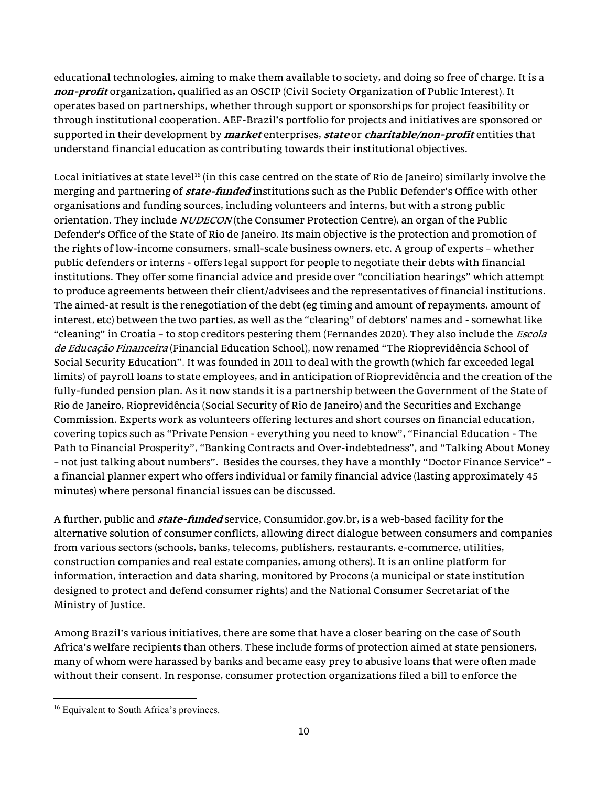educational technologies, aiming to make them available to society, and doing so free of charge. It is a non-profit organization, qualified as an OSCIP (Civil Society Organization of Public Interest). It operates based on partnerships, whether through support or sponsorships for project feasibility or through institutional cooperation. AEF-Brazil's portfolio for projects and initiatives are sponsored or supported in their development by *market* enterprises, *state* or *charitable/non-profit* entities that understand financial education as contributing towards their institutional objectives.

Local initiatives at state level<sup>16</sup> (in this case centred on the state of Rio de Janeiro) similarly involve the merging and partnering of **state-funded** institutions such as the Public Defender's Office with other organisations and funding sources, including volunteers and interns, but with a strong public orientation. They include *NUDECON* (the Consumer Protection Centre), an organ of the Public Defender's Office of the State of Rio de Janeiro. Its main objective is the protection and promotion of the rights of low-income consumers, small-scale business owners, etc. A group of experts – whether public defenders or interns - offers legal support for people to negotiate their debts with financial institutions. They offer some financial advice and preside over "conciliation hearings" which attempt to produce agreements between their client/advisees and the representatives of financial institutions. The aimed-at result is the renegotiation of the debt (eg timing and amount of repayments, amount of interest, etc) between the two parties, as well as the "clearing" of debtors' names and - somewhat like "cleaning" in Croatia - to stop creditors pestering them (Fernandes 2020). They also include the *Escola* de Educação Financeira (Financial Education School), now renamed "The Rioprevidência School of Social Security Education". It was founded in 2011 to deal with the growth (which far exceeded legal limits) of payroll loans to state employees, and in anticipation of Rioprevidência and the creation of the fully-funded pension plan. As it now stands it is a partnership between the Government of the State of Rio de Janeiro, Rioprevidência (Social Security of Rio de Janeiro) and the Securities and Exchange Commission. Experts work as volunteers offering lectures and short courses on financial education, covering topics such as "Private Pension - everything you need to know", "Financial Education - The Path to Financial Prosperity", "Banking Contracts and Over-indebtedness", and "Talking About Money – not just talking about numbers". Besides the courses, they have a monthly "Doctor Finance Service" – a financial planner expert who offers individual or family financial advice (lasting approximately 45 minutes) where personal financial issues can be discussed.

A further, public and **state-funded** service, Consumidor.gov.br, is a web-based facility for the alternative solution of consumer conflicts, allowing direct dialogue between consumers and companies from various sectors (schools, banks, telecoms, publishers, restaurants, e-commerce, utilities, construction companies and real estate companies, among others). It is an online platform for information, interaction and data sharing, monitored by Procons (a municipal or state institution designed to protect and defend consumer rights) and the National Consumer Secretariat of the Ministry of Justice.

Among Brazil's various initiatives, there are some that have a closer bearing on the case of South Africa's welfare recipients than others. These include forms of protection aimed at state pensioners, many of whom were harassed by banks and became easy prey to abusive loans that were often made without their consent. In response, consumer protection organizations filed a bill to enforce the

<sup>&</sup>lt;sup>16</sup> Equivalent to South Africa's provinces.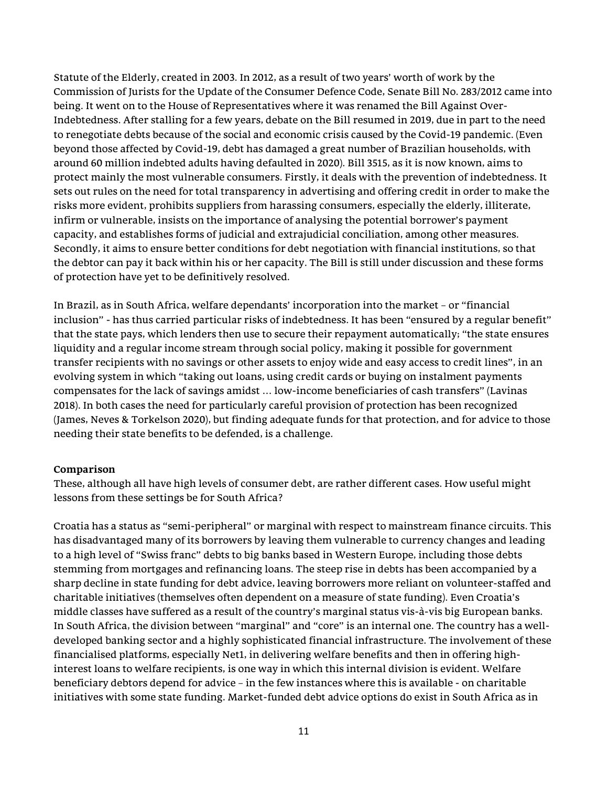Statute of the Elderly, created in 2003. In 2012, as a result of two years' worth of work by the Commission of Jurists for the Update of the Consumer Defence Code, Senate Bill No. 283/2012 came into being. It went on to the House of Representatives where it was renamed the Bill Against Over-Indebtedness. After stalling for a few years, debate on the Bill resumed in 2019, due in part to the need to renegotiate debts because of the social and economic crisis caused by the Covid-19 pandemic. (Even beyond those affected by Covid-19, debt has damaged a great number of Brazilian households, with around 60 million indebted adults having defaulted in 2020). Bill 3515, as it is now known, aims to protect mainly the most vulnerable consumers. Firstly, it deals with the prevention of indebtedness. It sets out rules on the need for total transparency in advertising and offering credit in order to make the risks more evident, prohibits suppliers from harassing consumers, especially the elderly, illiterate, infirm or vulnerable, insists on the importance of analysing the potential borrower's payment capacity, and establishes forms of judicial and extrajudicial conciliation, among other measures. Secondly, it aims to ensure better conditions for debt negotiation with financial institutions, so that the debtor can pay it back within his or her capacity. The Bill is still under discussion and these forms of protection have yet to be definitively resolved.

In Brazil, as in South Africa, welfare dependants' incorporation into the market – or "financial inclusion" - has thus carried particular risks of indebtedness. It has been "ensured by a regular benefit" that the state pays, which lenders then use to secure their repayment automatically; "the state ensures liquidity and a regular income stream through social policy, making it possible for government transfer recipients with no savings or other assets to enjoy wide and easy access to credit lines", in an evolving system in which "taking out loans, using credit cards or buying on instalment payments compensates for the lack of savings amidst … low-income beneficiaries of cash transfers" (Lavinas 2018). In both cases the need for particularly careful provision of protection has been recognized (James, Neves & Torkelson 2020), but finding adequate funds for that protection, and for advice to those needing their state benefits to be defended, is a challenge.

### Comparison

These, although all have high levels of consumer debt, are rather different cases. How useful might lessons from these settings be for South Africa?

Croatia has a status as "semi-peripheral" or marginal with respect to mainstream finance circuits. This has disadvantaged many of its borrowers by leaving them vulnerable to currency changes and leading to a high level of "Swiss franc" debts to big banks based in Western Europe, including those debts stemming from mortgages and refinancing loans. The steep rise in debts has been accompanied by a sharp decline in state funding for debt advice, leaving borrowers more reliant on volunteer-staffed and charitable initiatives (themselves often dependent on a measure of state funding). Even Croatia's middle classes have suffered as a result of the country's marginal status vis-à-vis big European banks. In South Africa, the division between "marginal" and "core" is an internal one. The country has a welldeveloped banking sector and a highly sophisticated financial infrastructure. The involvement of these financialised platforms, especially Net1, in delivering welfare benefits and then in offering highinterest loans to welfare recipients, is one way in which this internal division is evident. Welfare beneficiary debtors depend for advice – in the few instances where this is available - on charitable initiatives with some state funding. Market-funded debt advice options do exist in South Africa as in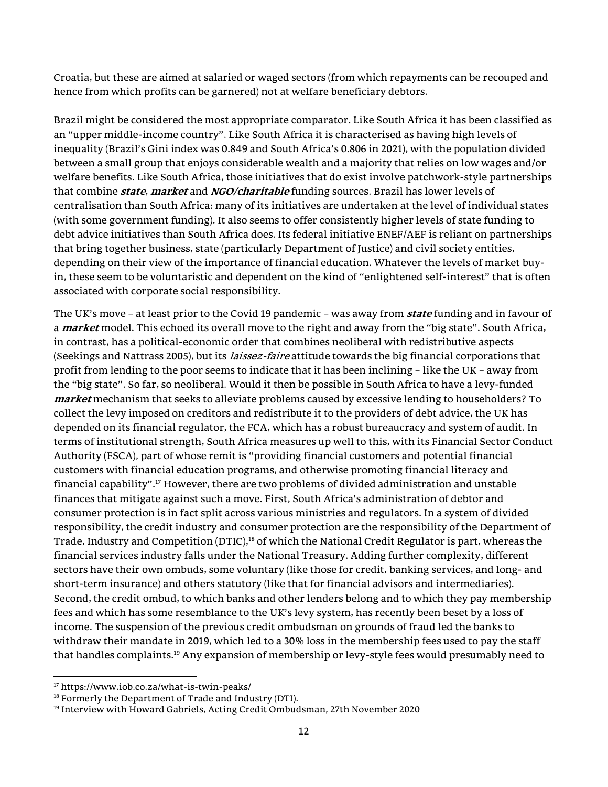Croatia, but these are aimed at salaried or waged sectors (from which repayments can be recouped and hence from which profits can be garnered) not at welfare beneficiary debtors.

Brazil might be considered the most appropriate comparator. Like South Africa it has been classified as an "upper middle-income country". Like South Africa it is characterised as having high levels of inequality (Brazil's Gini index was 0.849 and South Africa's 0.806 in 2021), with the population divided between a small group that enjoys considerable wealth and a majority that relies on low wages and/or welfare benefits. Like South Africa, those initiatives that do exist involve patchwork-style partnerships that combine *state, market* and *NGO/charitable* funding sources. Brazil has lower levels of centralisation than South Africa: many of its initiatives are undertaken at the level of individual states (with some government funding). It also seems to offer consistently higher levels of state funding to debt advice initiatives than South Africa does. Its federal initiative ENEF/AEF is reliant on partnerships that bring together business, state (particularly Department of Justice) and civil society entities, depending on their view of the importance of financial education. Whatever the levels of market buyin, these seem to be voluntaristic and dependent on the kind of "enlightened self-interest" that is often associated with corporate social responsibility.

The UK's move – at least prior to the Covid 19 pandemic – was away from **state** funding and in favour of a *market* model. This echoed its overall move to the right and away from the "big state". South Africa, in contrast, has a political-economic order that combines neoliberal with redistributive aspects (Seekings and Nattrass 2005), but its *laissez-faire* attitude towards the big financial corporations that profit from lending to the poor seems to indicate that it has been inclining – like the UK – away from the "big state". So far, so neoliberal. Would it then be possible in South Africa to have a levy-funded market mechanism that seeks to alleviate problems caused by excessive lending to householders? To collect the levy imposed on creditors and redistribute it to the providers of debt advice, the UK has depended on its financial regulator, the FCA, which has a robust bureaucracy and system of audit. In terms of institutional strength, South Africa measures up well to this, with its Financial Sector Conduct Authority (FSCA), part of whose remit is "providing financial customers and potential financial customers with financial education programs, and otherwise promoting financial literacy and financial capability".<sup>17</sup> However, there are two problems of divided administration and unstable finances that mitigate against such a move. First, South Africa's administration of debtor and consumer protection is in fact split across various ministries and regulators. In a system of divided responsibility, the credit industry and consumer protection are the responsibility of the Department of Trade, Industry and Competition (DTIC),<sup>18</sup> of which the National Credit Regulator is part, whereas the financial services industry falls under the National Treasury. Adding further complexity, different sectors have their own ombuds, some voluntary (like those for credit, banking services, and long- and short-term insurance) and others statutory (like that for financial advisors and intermediaries). Second, the credit ombud, to which banks and other lenders belong and to which they pay membership fees and which has some resemblance to the UK's levy system, has recently been beset by a loss of income. The suspension of the previous credit ombudsman on grounds of fraud led the banks to withdraw their mandate in 2019, which led to a 30% loss in the membership fees used to pay the staff that handles complaints.<sup>19</sup> Any expansion of membership or levy-style fees would presumably need to

<sup>17</sup> https://www.iob.co.za/what-is-twin-peaks/

<sup>&</sup>lt;sup>18</sup> Formerly the Department of Trade and Industry (DTI).

<sup>&</sup>lt;sup>19</sup> Interview with Howard Gabriels, Acting Credit Ombudsman, 27th November 2020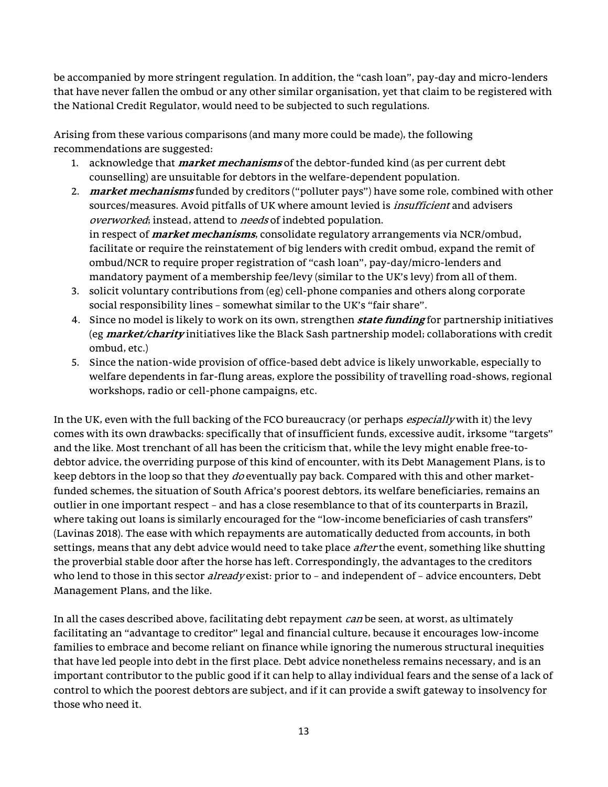be accompanied by more stringent regulation. In addition, the "cash loan", pay-day and micro-lenders that have never fallen the ombud or any other similar organisation, yet that claim to be registered with the National Credit Regulator, would need to be subjected to such regulations.

Arising from these various comparisons (and many more could be made), the following recommendations are suggested:

- 1. acknowledge that *market mechanisms* of the debtor-funded kind (as per current debt counselling) are unsuitable for debtors in the welfare-dependent population.
- 2. market mechanisms funded by creditors ("polluter pays") have some role, combined with other sources/measures. Avoid pitfalls of UK where amount levied is *insufficient* and advisers overworked; instead, attend to needs of indebted population. in respect of *market mechanisms*, consolidate regulatory arrangements via NCR/ombud, facilitate or require the reinstatement of big lenders with credit ombud, expand the remit of ombud/NCR to require proper registration of "cash loan", pay-day/micro-lenders and mandatory payment of a membership fee/levy (similar to the UK's levy) from all of them.
- 3. solicit voluntary contributions from (eg) cell-phone companies and others along corporate social responsibility lines – somewhat similar to the UK's "fair share".
- 4. Since no model is likely to work on its own, strengthen *state funding* for partnership initiatives (eg *market/charity* initiatives like the Black Sash partnership model; collaborations with credit ombud, etc.)
- 5. Since the nation-wide provision of office-based debt advice is likely unworkable, especially to welfare dependents in far-flung areas, explore the possibility of travelling road-shows, regional workshops, radio or cell-phone campaigns, etc.

In the UK, even with the full backing of the FCO bureaucracy (or perhaps *especially* with it) the levy comes with its own drawbacks: specifically that of insufficient funds, excessive audit, irksome "targets" and the like. Most trenchant of all has been the criticism that, while the levy might enable free-todebtor advice, the overriding purpose of this kind of encounter, with its Debt Management Plans, is to keep debtors in the loop so that they *do* eventually pay back. Compared with this and other marketfunded schemes, the situation of South Africa's poorest debtors, its welfare beneficiaries, remains an outlier in one important respect – and has a close resemblance to that of its counterparts in Brazil, where taking out loans is similarly encouraged for the "low-income beneficiaries of cash transfers" (Lavinas 2018). The ease with which repayments are automatically deducted from accounts, in both settings, means that any debt advice would need to take place *after* the event, something like shutting the proverbial stable door after the horse has left. Correspondingly, the advantages to the creditors who lend to those in this sector *already* exist: prior to - and independent of - advice encounters, Debt Management Plans, and the like.

In all the cases described above, facilitating debt repayment *can* be seen, at worst, as ultimately facilitating an "advantage to creditor" legal and financial culture, because it encourages low-income families to embrace and become reliant on finance while ignoring the numerous structural inequities that have led people into debt in the first place. Debt advice nonetheless remains necessary, and is an important contributor to the public good if it can help to allay individual fears and the sense of a lack of control to which the poorest debtors are subject, and if it can provide a swift gateway to insolvency for those who need it.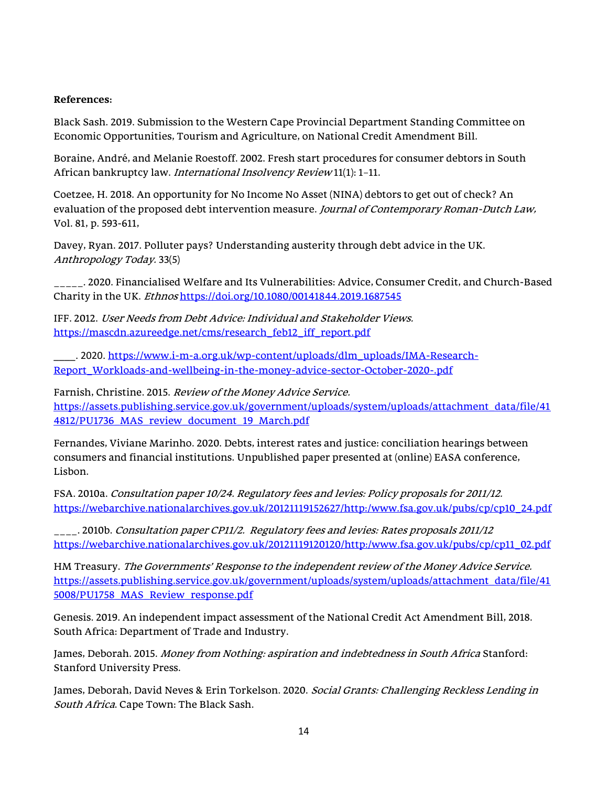#### References:

Black Sash. 2019. Submission to the Western Cape Provincial Department Standing Committee on Economic Opportunities, Tourism and Agriculture, on National Credit Amendment Bill.

Boraine, André, and Melanie Roestoff. 2002. Fresh start procedures for consumer debtors in South African bankruptcy law. International Insolvency Review 11(1): 1–11.

Coetzee, H. 2018. An opportunity for No Income No Asset (NINA) debtors to get out of check? An evaluation of the proposed debt intervention measure. Journal of Contemporary Roman-Dutch Law, Vol. 81, p. 593-611,

Davey, Ryan. 2017. Polluter pays? Understanding austerity through debt advice in the UK. Anthropology Today. 33(5)

\_\_\_\_\_. 2020. Financialised Welfare and Its Vulnerabilities: Advice, Consumer Credit, and Church-Based Charity in the UK. Ethnos https://doi.org/10.1080/00141844.2019.1687545

IFF. 2012. User Needs from Debt Advice: Individual and Stakeholder Views. https://mascdn.azureedge.net/cms/research\_feb12\_iff\_report.pdf

. 2020. https://www.i-m-a.org.uk/wp-content/uploads/dlm\_uploads/IMA-Research-Report\_Workloads-and-wellbeing-in-the-money-advice-sector-October-2020-.pdf

Farnish, Christine. 2015. Review of the Money Advice Service. https://assets.publishing.service.gov.uk/government/uploads/system/uploads/attachment\_data/file/41 4812/PU1736\_MAS\_review\_document\_19\_March.pdf

Fernandes, Viviane Marinho. 2020. Debts, interest rates and justice: conciliation hearings between consumers and financial institutions. Unpublished paper presented at (online) EASA conference, Lisbon.

FSA. 2010a. Consultation paper 10/24. Regulatory fees and levies: Policy proposals for 2011/12. https://webarchive.nationalarchives.gov.uk/20121119152627/http:/www.fsa.gov.uk/pubs/cp/cp10\_24.pdf

\_\_\_\_. 2010b. Consultation paper CP11/2. Regulatory fees and levies: Rates proposals 2011/12 https://webarchive.nationalarchives.gov.uk/20121119120120/http:/www.fsa.gov.uk/pubs/cp/cp11\_02.pdf

HM Treasury. The Governments' Response to the independent review of the Money Advice Service. https://assets.publishing.service.gov.uk/government/uploads/system/uploads/attachment\_data/file/41 5008/PU1758\_MAS\_Review\_response.pdf

Genesis. 2019. An independent impact assessment of the National Credit Act Amendment Bill, 2018. South Africa: Department of Trade and Industry.

James, Deborah. 2015. Money from Nothing: aspiration and indebtedness in South Africa Stanford: Stanford University Press.

James, Deborah, David Neves & Erin Torkelson. 2020. Social Grants: Challenging Reckless Lending in South Africa. Cape Town: The Black Sash.